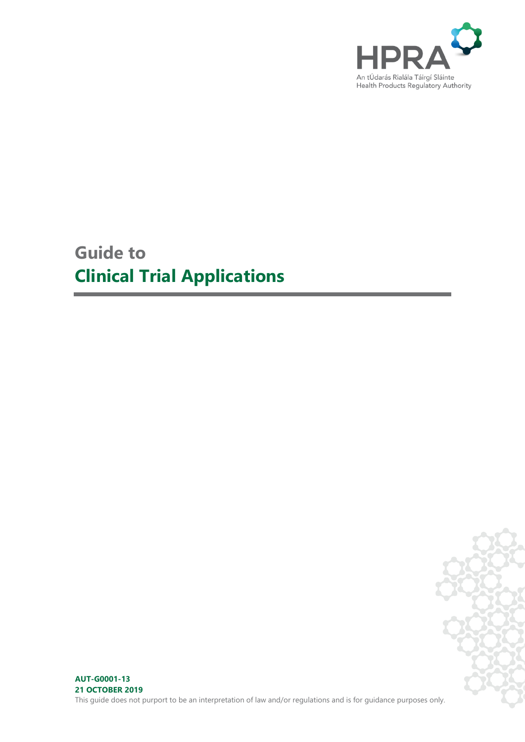

# **Guide to Clinical Trial Applications**

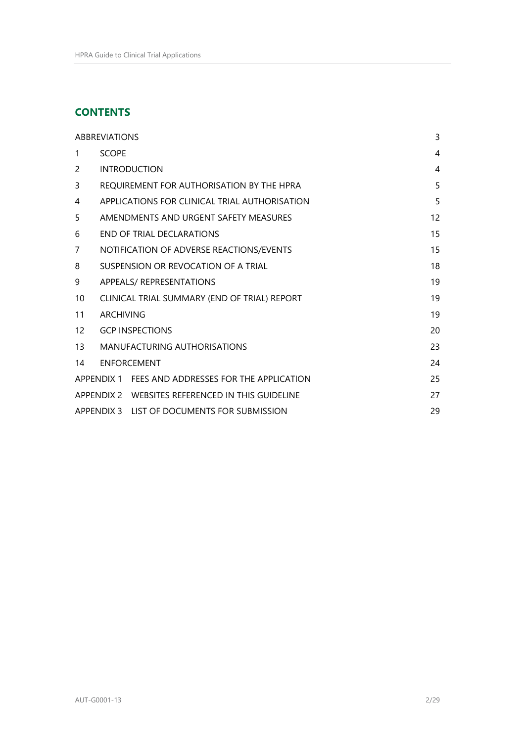# **CONTENTS**

| <b>ABBREVIATIONS</b> |                                                    |                                                   |                |  |
|----------------------|----------------------------------------------------|---------------------------------------------------|----------------|--|
| 1                    | <b>SCOPE</b>                                       |                                                   | $\overline{4}$ |  |
| 2                    |                                                    | <b>INTRODUCTION</b>                               | $\overline{4}$ |  |
| 3                    |                                                    | REQUIREMENT FOR AUTHORISATION BY THE HPRA         | 5              |  |
| 4                    | APPLICATIONS FOR CLINICAL TRIAL AUTHORISATION      |                                                   |                |  |
| 5                    | 12<br>AMENDMENTS AND URGENT SAFETY MEASURES        |                                                   |                |  |
| 6                    | 15<br>END OF TRIAL DECLARATIONS                    |                                                   |                |  |
| 7                    |                                                    | NOTIFICATION OF ADVERSE REACTIONS/EVENTS          | 15             |  |
| 8                    | 18<br>SUSPENSION OR REVOCATION OF A TRIAL          |                                                   |                |  |
| 9                    | APPEALS/ REPRESENTATIONS                           |                                                   |                |  |
| 10                   | CLINICAL TRIAL SUMMARY (END OF TRIAL) REPORT<br>19 |                                                   |                |  |
| 11                   | <b>ARCHIVING</b><br>19                             |                                                   |                |  |
| $12 \overline{ }$    | <b>GCP INSPECTIONS</b>                             |                                                   | 20             |  |
| 13                   |                                                    | MANUFACTURING AUTHORISATIONS                      | 23             |  |
| 14                   |                                                    | <b>FNFORCEMENT</b>                                | 24             |  |
|                      |                                                    | APPENDIX 1 FEES AND ADDRESSES FOR THE APPLICATION | 25             |  |
|                      |                                                    | APPENDIX 2 WEBSITES REFERENCED IN THIS GUIDELINE  | 27             |  |
|                      |                                                    | APPENDIX 3 LIST OF DOCUMENTS FOR SUBMISSION       | 29             |  |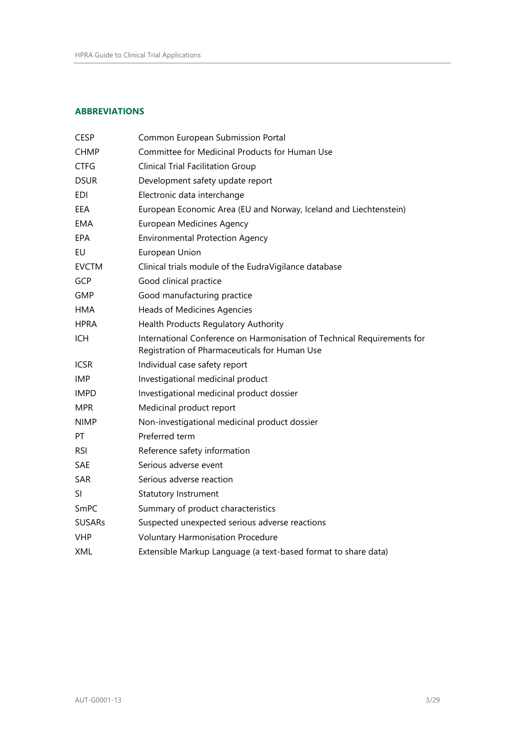# <span id="page-2-0"></span>**ABBREVIATIONS**

| <b>CESP</b>   | Common European Submission Portal                                                                                        |
|---------------|--------------------------------------------------------------------------------------------------------------------------|
| <b>CHMP</b>   | Committee for Medicinal Products for Human Use                                                                           |
| <b>CTFG</b>   | <b>Clinical Trial Facilitation Group</b>                                                                                 |
| <b>DSUR</b>   | Development safety update report                                                                                         |
| EDI           | Electronic data interchange                                                                                              |
| EEA           | European Economic Area (EU and Norway, Iceland and Liechtenstein)                                                        |
| <b>EMA</b>    | European Medicines Agency                                                                                                |
| <b>EPA</b>    | <b>Environmental Protection Agency</b>                                                                                   |
| EU            | European Union                                                                                                           |
| <b>EVCTM</b>  | Clinical trials module of the EudraVigilance database                                                                    |
| <b>GCP</b>    | Good clinical practice                                                                                                   |
| <b>GMP</b>    | Good manufacturing practice                                                                                              |
| <b>HMA</b>    | <b>Heads of Medicines Agencies</b>                                                                                       |
| <b>HPRA</b>   | Health Products Regulatory Authority                                                                                     |
| <b>ICH</b>    | International Conference on Harmonisation of Technical Requirements for<br>Registration of Pharmaceuticals for Human Use |
| <b>ICSR</b>   | Individual case safety report                                                                                            |
| <b>IMP</b>    | Investigational medicinal product                                                                                        |
| <b>IMPD</b>   | Investigational medicinal product dossier                                                                                |
| <b>MPR</b>    | Medicinal product report                                                                                                 |
| <b>NIMP</b>   | Non-investigational medicinal product dossier                                                                            |
| PT            | Preferred term                                                                                                           |
| <b>RSI</b>    | Reference safety information                                                                                             |
| SAE           | Serious adverse event                                                                                                    |
| <b>SAR</b>    | Serious adverse reaction                                                                                                 |
| SI            | Statutory Instrument                                                                                                     |
| SmPC          | Summary of product characteristics                                                                                       |
| <b>SUSARs</b> | Suspected unexpected serious adverse reactions                                                                           |
| <b>VHP</b>    | <b>Voluntary Harmonisation Procedure</b>                                                                                 |
| XML           | Extensible Markup Language (a text-based format to share data)                                                           |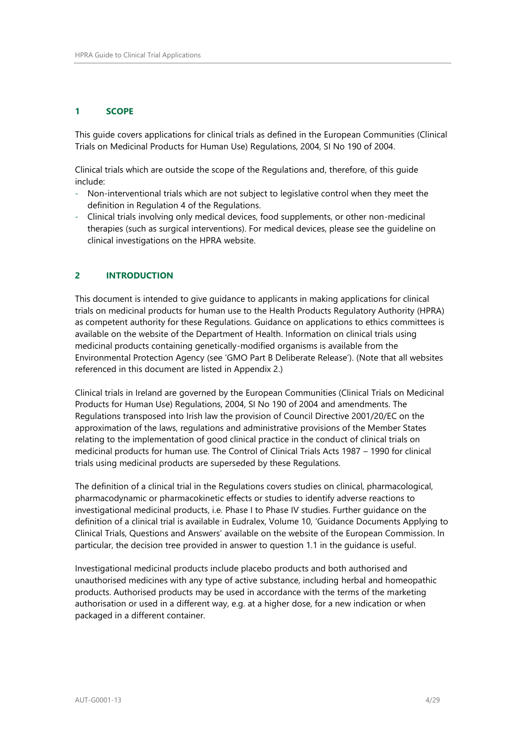# <span id="page-3-0"></span>**1 SCOPE**

This guide covers applications for clinical trials as defined in the European Communities (Clinical Trials on Medicinal Products for Human Use) Regulations, 2004, SI No 190 of 2004.

Clinical trials which are outside the scope of the Regulations and, therefore, of this guide include:

- Non-interventional trials which are not subject to legislative control when they meet the definition in Regulation 4 of the Regulations.
- Clinical trials involving only medical devices, food supplements, or other non-medicinal therapies (such as surgical interventions). For medical devices, please see the guideline on clinical investigations on the HPRA website.

# <span id="page-3-1"></span>**2 INTRODUCTION**

This document is intended to give guidance to applicants in making applications for clinical trials on medicinal products for human use to the Health Products Regulatory Authority (HPRA) as competent authority for these Regulations. Guidance on applications to ethics committees is available on the website of the Department of Health. Information on clinical trials using medicinal products containing genetically-modified organisms is available from the Environmental Protection Agency (see 'GMO Part B Deliberate Release'). (Note that all websites referenced in this document are listed in Appendix 2.)

Clinical trials in Ireland are governed by the European Communities (Clinical Trials on Medicinal Products for Human Use) Regulations, 2004, SI No 190 of 2004 and amendments. The Regulations transposed into Irish law the provision of Council Directive 2001/20/EC on the approximation of the laws, regulations and administrative provisions of the Member States relating to the implementation of good clinical practice in the conduct of clinical trials on medicinal products for human use. The Control of Clinical Trials Acts 1987 – 1990 for clinical trials using medicinal products are superseded by these Regulations.

The definition of a clinical trial in the Regulations covers studies on clinical, pharmacological, pharmacodynamic or pharmacokinetic effects or studies to identify adverse reactions to investigational medicinal products, i.e. Phase I to Phase IV studies. Further guidance on the definition of a clinical trial is available in Eudralex, Volume 10, 'Guidance Documents Applying to Clinical Trials, Questions and Answers' available on the website of the European Commission. In particular, the decision tree provided in answer to question 1.1 in the guidance is useful.

Investigational medicinal products include placebo products and both authorised and unauthorised medicines with any type of active substance, including herbal and homeopathic products. Authorised products may be used in accordance with the terms of the marketing authorisation or used in a different way, e.g. at a higher dose, for a new indication or when packaged in a different container.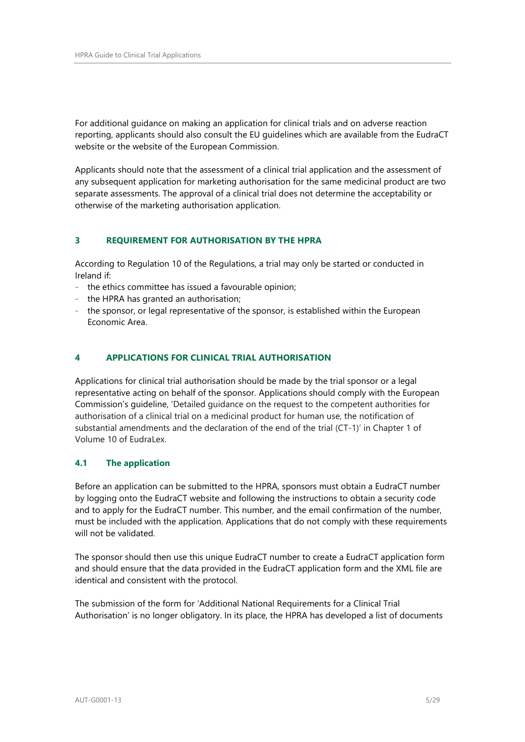For additional guidance on making an application for clinical trials and on adverse reaction reporting, applicants should also consult the EU guidelines which are available from the EudraCT website or the website of the European Commission.

Applicants should note that the assessment of a clinical trial application and the assessment of any subsequent application for marketing authorisation for the same medicinal product are two separate assessments. The approval of a clinical trial does not determine the acceptability or otherwise of the marketing authorisation application.

# <span id="page-4-0"></span>**3 REQUIREMENT FOR AUTHORISATION BY THE HPRA**

According to Regulation 10 of the Regulations, a trial may only be started or conducted in Ireland if:

- the ethics committee has issued a favourable opinion;
- the HPRA has granted an authorisation;
- the sponsor, or legal representative of the sponsor, is established within the European Economic Area.

# <span id="page-4-1"></span>**4 APPLICATIONS FOR CLINICAL TRIAL AUTHORISATION**

Applications for clinical trial authorisation should be made by the trial sponsor or a legal representative acting on behalf of the sponsor. Applications should comply with the European Commission's guideline, 'Detailed guidance on the request to the competent authorities for authorisation of a clinical trial on a medicinal product for human use, the notification of substantial amendments and the declaration of the end of the trial (CT-1)' in Chapter 1 of Volume 10 of EudraLex.

# **4.1 The application**

Before an application can be submitted to the HPRA, sponsors must obtain a EudraCT number by logging onto the EudraCT website and following the instructions to obtain a security code and to apply for the EudraCT number. This number, and the email confirmation of the number, must be included with the application. Applications that do not comply with these requirements will not be validated.

The sponsor should then use this unique EudraCT number to create a EudraCT application form and should ensure that the data provided in the EudraCT application form and the XML file are identical and consistent with the protocol.

The submission of the form for 'Additional National Requirements for a Clinical Trial Authorisation' is no longer obligatory. In its place, the HPRA has developed a list of documents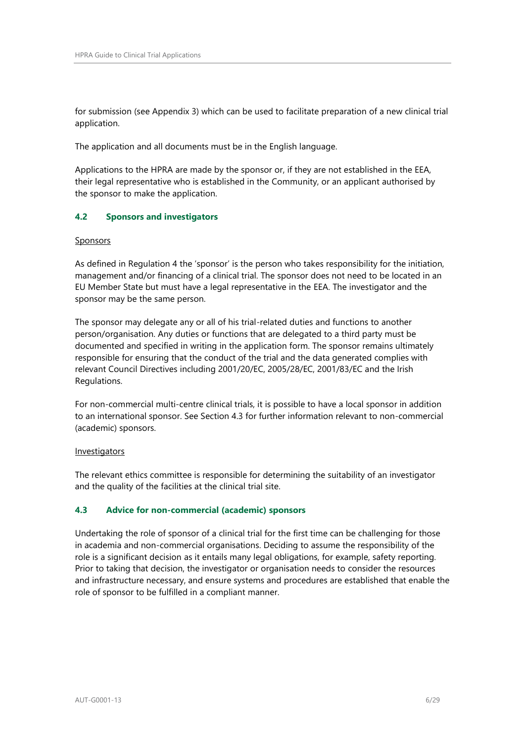for submission (see Appendix 3) which can be used to facilitate preparation of a new clinical trial application.

The application and all documents must be in the English language.

Applications to the HPRA are made by the sponsor or, if they are not established in the EEA, their legal representative who is established in the Community, or an applicant authorised by the sponsor to make the application.

# **4.2 Sponsors and investigators**

#### **Sponsors**

As defined in Regulation 4 the 'sponsor' is the person who takes responsibility for the initiation, management and/or financing of a clinical trial. The sponsor does not need to be located in an EU Member State but must have a legal representative in the EEA. The investigator and the sponsor may be the same person.

The sponsor may delegate any or all of his trial-related duties and functions to another person/organisation. Any duties or functions that are delegated to a third party must be documented and specified in writing in the application form. The sponsor remains ultimately responsible for ensuring that the conduct of the trial and the data generated complies with relevant Council Directives including 2001/20/EC, 2005/28/EC, 2001/83/EC and the Irish Regulations.

For non-commercial multi-centre clinical trials, it is possible to have a local sponsor in addition to an international sponsor. See Section 4.3 for further information relevant to non-commercial (academic) sponsors.

#### Investigators

The relevant ethics committee is responsible for determining the suitability of an investigator and the quality of the facilities at the clinical trial site.

# **4.3 Advice for non-commercial (academic) sponsors**

Undertaking the role of sponsor of a clinical trial for the first time can be challenging for those in academia and non-commercial organisations. Deciding to assume the responsibility of the role is a significant decision as it entails many legal obligations, for example, safety reporting. Prior to taking that decision, the investigator or organisation needs to consider the resources and infrastructure necessary, and ensure systems and procedures are established that enable the role of sponsor to be fulfilled in a compliant manner.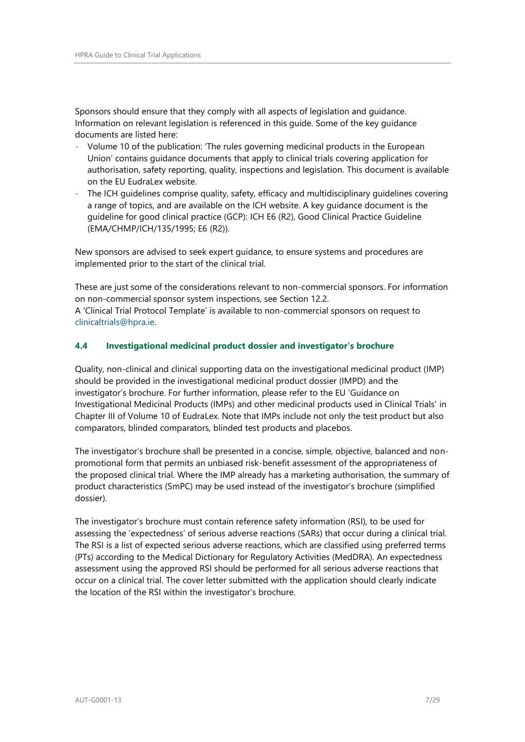Sponsors should ensure that they comply with all aspects of legislation and guidance. Information on relevant legislation is referenced in this guide. Some of the key guidance documents are listed here:

- Volume 10 of the publication: 'The rules governing medicinal products in the European Union' contains guidance documents that apply to clinical trials covering application for authorisation, safety reporting, quality, inspections and legislation. This document is available on the EU EudraLex website.
- The ICH guidelines comprise quality, safety, efficacy and multidisciplinary guidelines covering a range of topics, and are available on the ICH website. A key guidance document is the guideline for good clinical practice (GCP): ICH E6 (R2), Good Clinical Practice Guideline (EMA/CHMP/ICH/135/1995; E6 (R2)).

New sponsors are advised to seek expert guidance, to ensure systems and procedures are implemented prior to the start of the clinical trial.

These are just some of the considerations relevant to non-commercial sponsors. For information on non-commercial sponsor system inspections, see Section 12.2.

A 'Clinical Trial Protocol Template' is available to non-commercial sponsors on request to [clinicaltrials@hpra.ie.](mailto:clinicaltrials@hpra.ie)

# **4.4 Investigational medicinal product dossier and investigator's brochure**

Quality, non-clinical and clinical supporting data on the investigational medicinal product (IMP) should be provided in the investigational medicinal product dossier (IMPD) and the investigator's brochure. For further information, please refer to the EU 'Guidance on Investigational Medicinal Products (IMPs) and other medicinal products used in Clinical Trials' in Chapter III of Volume 10 of EudraLex. Note that IMPs include not only the test product but also comparators, blinded comparators, blinded test products and placebos.

The investigator's brochure shall be presented in a concise, simple, objective, balanced and nonpromotional form that permits an unbiased risk-benefit assessment of the appropriateness of the proposed clinical trial. Where the IMP already has a marketing authorisation, the summary of product characteristics (SmPC) may be used instead of the investigator's brochure (simplified dossier).

The investigator's brochure must contain reference safety information (RSI), to be used for assessing the 'expectedness' of serious adverse reactions (SARs) that occur during a clinical trial. The RSI is a list of expected serious adverse reactions, which are classified using preferred terms (PTs) according to the Medical Dictionary for Regulatory Activities (MedDRA). An expectedness assessment using the approved RSI should be performed for all serious adverse reactions that occur on a clinical trial. The cover letter submitted with the application should clearly indicate the location of the RSI within the investigator's brochure.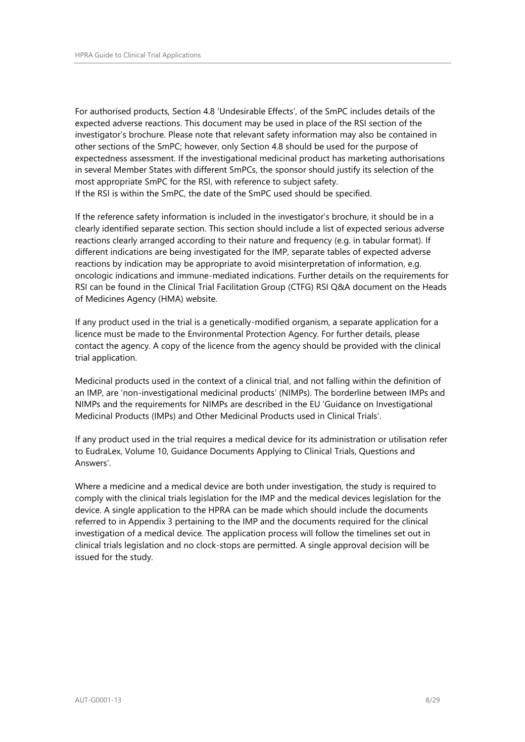For authorised products, Section 4.8 'Undesirable Effects', of the SmPC includes details of the expected adverse reactions. This document may be used in place of the RSI section of the investigator's brochure. Please note that relevant safety information may also be contained in other sections of the SmPC; however, only Section 4.8 should be used for the purpose of expectedness assessment. If the investigational medicinal product has marketing authorisations in several Member States with different SmPCs, the sponsor should justify its selection of the most appropriate SmPC for the RSI, with reference to subject safety. If the RSI is within the SmPC, the date of the SmPC used should be specified.

If the reference safety information is included in the investigator's brochure, it should be in a clearly identified separate section. This section should include a list of expected serious adverse reactions clearly arranged according to their nature and frequency (e.g. in tabular format). If different indications are being investigated for the IMP, separate tables of expected adverse reactions by indication may be appropriate to avoid misinterpretation of information, e.g. oncologic indications and immune-mediated indications. Further details on the requirements for RSI can be found in the Clinical Trial Facilitation Group (CTFG) RSI Q&A document on the Heads of Medicines Agency (HMA) website.

If any product used in the trial is a genetically-modified organism, a separate application for a licence must be made to the Environmental Protection Agency. For further details, please contact the agency. A copy of the licence from the agency should be provided with the clinical trial application.

Medicinal products used in the context of a clinical trial, and not falling within the definition of an IMP, are 'non-investigational medicinal products' (NIMPs). The borderline between IMPs and NIMPs and the requirements for NIMPs are described in the EU 'Guidance on Investigational Medicinal Products (IMPs) and Other Medicinal Products used in Clinical Trials'.

If any product used in the trial requires a medical device for its administration or utilisation refer to EudraLex, Volume 10, Guidance Documents Applying to Clinical Trials, Questions and Answers'.

Where a medicine and a medical device are both under investigation, the study is required to comply with the clinical trials legislation for the IMP and the medical devices legislation for the device. A single application to the HPRA can be made which should include the documents referred to in Appendix 3 pertaining to the IMP and the documents required for the clinical investigation of a medical device. The application process will follow the timelines set out in clinical trials legislation and no clock-stops are permitted. A single approval decision will be issued for the study.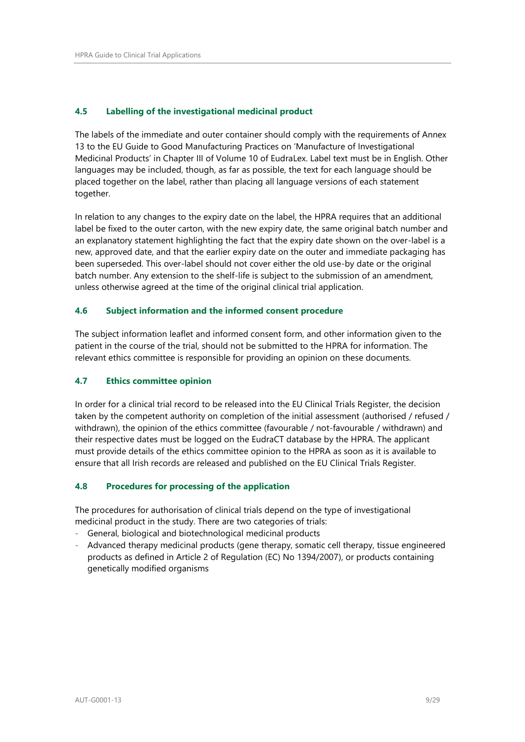# **4.5 Labelling of the investigational medicinal product**

The labels of the immediate and outer container should comply with the requirements of Annex 13 to the EU Guide to Good Manufacturing Practices on 'Manufacture of Investigational Medicinal Products' in Chapter III of Volume 10 of EudraLex. Label text must be in English. Other languages may be included, though, as far as possible, the text for each language should be placed together on the label, rather than placing all language versions of each statement together.

In relation to any changes to the expiry date on the label, the HPRA requires that an additional label be fixed to the outer carton, with the new expiry date, the same original batch number and an explanatory statement highlighting the fact that the expiry date shown on the over-label is a new, approved date, and that the earlier expiry date on the outer and immediate packaging has been superseded. This over-label should not cover either the old use-by date or the original batch number. Any extension to the shelf-life is subject to the submission of an amendment, unless otherwise agreed at the time of the original clinical trial application.

# **4.6 Subject information and the informed consent procedure**

The subject information leaflet and informed consent form, and other information given to the patient in the course of the trial, should not be submitted to the HPRA for information. The relevant ethics committee is responsible for providing an opinion on these documents.

# **4.7 Ethics committee opinion**

In order for a clinical trial record to be released into the EU Clinical Trials Register, the decision taken by the competent authority on completion of the initial assessment (authorised / refused / withdrawn), the opinion of the ethics committee (favourable / not-favourable / withdrawn) and their respective dates must be logged on the EudraCT database by the HPRA. The applicant must provide details of the ethics committee opinion to the HPRA as soon as it is available to ensure that all Irish records are released and published on the EU Clinical Trials Register.

# **4.8 Procedures for processing of the application**

The procedures for authorisation of clinical trials depend on the type of investigational medicinal product in the study. There are two categories of trials:

- General, biological and biotechnological medicinal products
- Advanced therapy medicinal products (gene therapy, somatic cell therapy, tissue engineered products as defined in Article 2 of Regulation (EC) No 1394/2007), or products containing genetically modified organisms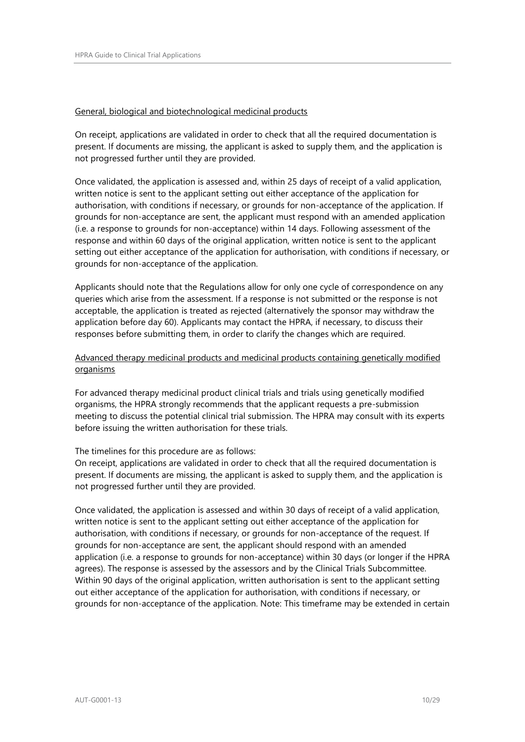#### General, biological and biotechnological medicinal products

On receipt, applications are validated in order to check that all the required documentation is present. If documents are missing, the applicant is asked to supply them, and the application is not progressed further until they are provided.

Once validated, the application is assessed and, within 25 days of receipt of a valid application, written notice is sent to the applicant setting out either acceptance of the application for authorisation, with conditions if necessary, or grounds for non-acceptance of the application. If grounds for non-acceptance are sent, the applicant must respond with an amended application (i.e. a response to grounds for non-acceptance) within 14 days. Following assessment of the response and within 60 days of the original application, written notice is sent to the applicant setting out either acceptance of the application for authorisation, with conditions if necessary, or grounds for non-acceptance of the application.

Applicants should note that the Regulations allow for only one cycle of correspondence on any queries which arise from the assessment. If a response is not submitted or the response is not acceptable, the application is treated as rejected (alternatively the sponsor may withdraw the application before day 60). Applicants may contact the HPRA, if necessary, to discuss their responses before submitting them, in order to clarify the changes which are required.

# Advanced therapy medicinal products and medicinal products containing genetically modified organisms

For advanced therapy medicinal product clinical trials and trials using genetically modified organisms, the HPRA strongly recommends that the applicant requests a pre-submission meeting to discuss the potential clinical trial submission. The HPRA may consult with its experts before issuing the written authorisation for these trials.

#### The timelines for this procedure are as follows:

On receipt, applications are validated in order to check that all the required documentation is present. If documents are missing, the applicant is asked to supply them, and the application is not progressed further until they are provided.

Once validated, the application is assessed and within 30 days of receipt of a valid application, written notice is sent to the applicant setting out either acceptance of the application for authorisation, with conditions if necessary, or grounds for non-acceptance of the request. If grounds for non-acceptance are sent, the applicant should respond with an amended application (i.e. a response to grounds for non-acceptance) within 30 days (or longer if the HPRA agrees). The response is assessed by the assessors and by the Clinical Trials Subcommittee. Within 90 days of the original application, written authorisation is sent to the applicant setting out either acceptance of the application for authorisation, with conditions if necessary, or grounds for non-acceptance of the application. Note: This timeframe may be extended in certain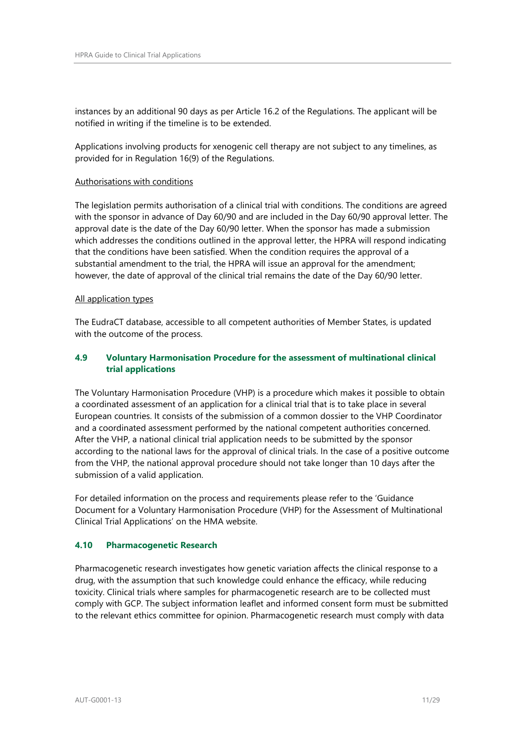instances by an additional 90 days as per Article 16.2 of the Regulations. The applicant will be notified in writing if the timeline is to be extended.

Applications involving products for xenogenic cell therapy are not subject to any timelines, as provided for in Regulation 16(9) of the Regulations.

#### Authorisations with conditions

The legislation permits authorisation of a clinical trial with conditions. The conditions are agreed with the sponsor in advance of Day 60/90 and are included in the Day 60/90 approval letter. The approval date is the date of the Day 60/90 letter. When the sponsor has made a submission which addresses the conditions outlined in the approval letter, the HPRA will respond indicating that the conditions have been satisfied. When the condition requires the approval of a substantial amendment to the trial, the HPRA will issue an approval for the amendment; however, the date of approval of the clinical trial remains the date of the Day 60/90 letter.

#### All application types

The EudraCT database, accessible to all competent authorities of Member States, is updated with the outcome of the process.

# **4.9 Voluntary Harmonisation Procedure for the assessment of multinational clinical trial applications**

The Voluntary Harmonisation Procedure (VHP) is a procedure which makes it possible to obtain a coordinated assessment of an application for a clinical trial that is to take place in several European countries. It consists of the submission of a common dossier to the VHP Coordinator and a coordinated assessment performed by the national competent authorities concerned. After the VHP, a national clinical trial application needs to be submitted by the sponsor according to the national laws for the approval of clinical trials. In the case of a positive outcome from the VHP, the national approval procedure should not take longer than 10 days after the submission of a valid application.

For detailed information on the process and requirements please refer to the 'Guidance Document for a Voluntary Harmonisation Procedure (VHP) for the Assessment of Multinational Clinical Trial Applications' on the HMA website.

#### **4.10 Pharmacogenetic Research**

Pharmacogenetic research investigates how genetic variation affects the clinical response to a drug, with the assumption that such knowledge could enhance the efficacy, while reducing toxicity. Clinical trials where samples for pharmacogenetic research are to be collected must comply with GCP. The subject information leaflet and informed consent form must be submitted to the relevant ethics committee for opinion. Pharmacogenetic research must comply with data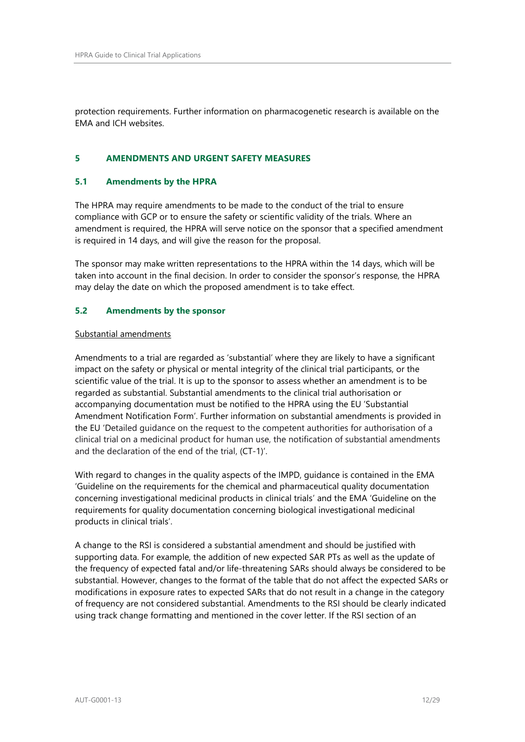protection requirements. Further information on pharmacogenetic research is available on the EMA and ICH websites.

# <span id="page-11-0"></span>**5 AMENDMENTS AND URGENT SAFETY MEASURES**

# **5.1 Amendments by the HPRA**

The HPRA may require amendments to be made to the conduct of the trial to ensure compliance with GCP or to ensure the safety or scientific validity of the trials. Where an amendment is required, the HPRA will serve notice on the sponsor that a specified amendment is required in 14 days, and will give the reason for the proposal.

The sponsor may make written representations to the HPRA within the 14 days, which will be taken into account in the final decision. In order to consider the sponsor's response, the HPRA may delay the date on which the proposed amendment is to take effect.

#### **5.2 Amendments by the sponsor**

#### Substantial amendments

Amendments to a trial are regarded as 'substantial' where they are likely to have a significant impact on the safety or physical or mental integrity of the clinical trial participants, or the scientific value of the trial. It is up to the sponsor to assess whether an amendment is to be regarded as substantial. Substantial amendments to the clinical trial authorisation or accompanying documentation must be notified to the HPRA using the EU 'Substantial Amendment Notification Form'. Further information on substantial amendments is provided in the EU 'Detailed guidance on the request to the competent authorities for authorisation of a clinical trial on a medicinal product for human use, the notification of substantial amendments and the declaration of the end of the trial, (CT-1)'.

With regard to changes in the quality aspects of the IMPD, guidance is contained in the EMA 'Guideline on the requirements for the chemical and pharmaceutical quality documentation concerning investigational medicinal products in clinical trials' and the EMA 'Guideline on the requirements for quality documentation concerning biological investigational medicinal products in clinical trials'.

A change to the RSI is considered a substantial amendment and should be justified with supporting data. For example, the addition of new expected SAR PTs as well as the update of the frequency of expected fatal and/or life-threatening SARs should always be considered to be substantial. However, changes to the format of the table that do not affect the expected SARs or modifications in exposure rates to expected SARs that do not result in a change in the category of frequency are not considered substantial. Amendments to the RSI should be clearly indicated using track change formatting and mentioned in the cover letter. If the RSI section of an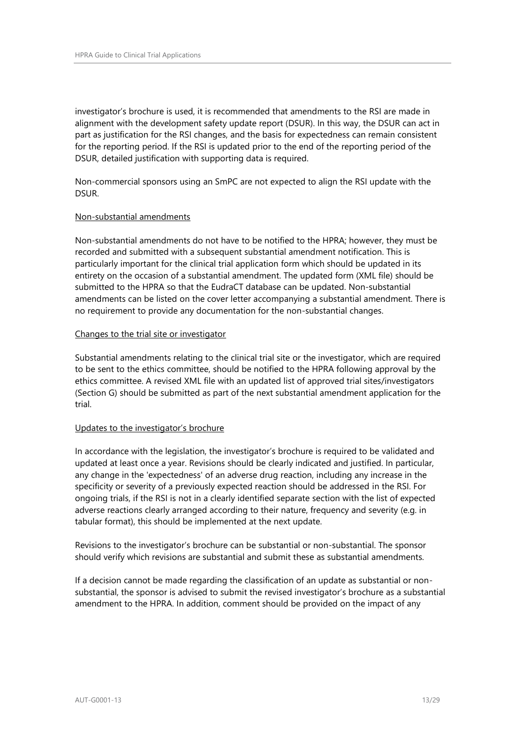investigator's brochure is used, it is recommended that amendments to the RSI are made in alignment with the development safety update report (DSUR). In this way, the DSUR can act in part as justification for the RSI changes, and the basis for expectedness can remain consistent for the reporting period. If the RSI is updated prior to the end of the reporting period of the DSUR, detailed justification with supporting data is required.

Non-commercial sponsors using an SmPC are not expected to align the RSI update with the DSUR.

#### Non-substantial amendments

Non-substantial amendments do not have to be notified to the HPRA; however, they must be recorded and submitted with a subsequent substantial amendment notification. This is particularly important for the clinical trial application form which should be updated in its entirety on the occasion of a substantial amendment. The updated form (XML file) should be submitted to the HPRA so that the EudraCT database can be updated. Non-substantial amendments can be listed on the cover letter accompanying a substantial amendment. There is no requirement to provide any documentation for the non-substantial changes.

#### Changes to the trial site or investigator

Substantial amendments relating to the clinical trial site or the investigator, which are required to be sent to the ethics committee, should be notified to the HPRA following approval by the ethics committee. A revised XML file with an updated list of approved trial sites/investigators (Section G) should be submitted as part of the next substantial amendment application for the trial.

# Updates to the investigator's brochure

In accordance with the legislation, the investigator's brochure is required to be validated and updated at least once a year. Revisions should be clearly indicated and justified. In particular, any change in the 'expectedness' of an adverse drug reaction, including any increase in the specificity or severity of a previously expected reaction should be addressed in the RSI. For ongoing trials, if the RSI is not in a clearly identified separate section with the list of expected adverse reactions clearly arranged according to their nature, frequency and severity (e.g. in tabular format), this should be implemented at the next update.

Revisions to the investigator's brochure can be substantial or non-substantial. The sponsor should verify which revisions are substantial and submit these as substantial amendments.

If a decision cannot be made regarding the classification of an update as substantial or nonsubstantial, the sponsor is advised to submit the revised investigator's brochure as a substantial amendment to the HPRA. In addition, comment should be provided on the impact of any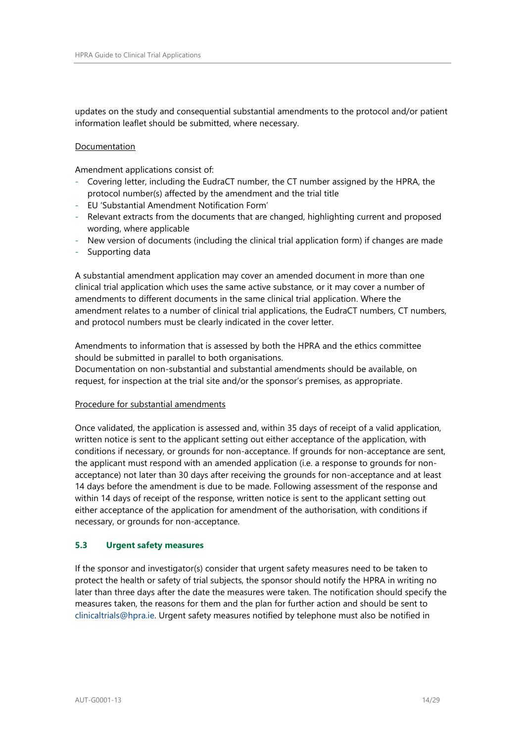updates on the study and consequential substantial amendments to the protocol and/or patient information leaflet should be submitted, where necessary.

#### Documentation

Amendment applications consist of:

- Covering letter, including the EudraCT number, the CT number assigned by the HPRA, the protocol number(s) affected by the amendment and the trial title
- EU 'Substantial Amendment Notification Form'
- Relevant extracts from the documents that are changed, highlighting current and proposed wording, where applicable
- New version of documents (including the clinical trial application form) if changes are made
- Supporting data

A substantial amendment application may cover an amended document in more than one clinical trial application which uses the same active substance, or it may cover a number of amendments to different documents in the same clinical trial application. Where the amendment relates to a number of clinical trial applications, the EudraCT numbers, CT numbers, and protocol numbers must be clearly indicated in the cover letter.

Amendments to information that is assessed by both the HPRA and the ethics committee should be submitted in parallel to both organisations.

Documentation on non-substantial and substantial amendments should be available, on request, for inspection at the trial site and/or the sponsor's premises, as appropriate.

# Procedure for substantial amendments

Once validated, the application is assessed and, within 35 days of receipt of a valid application, written notice is sent to the applicant setting out either acceptance of the application, with conditions if necessary, or grounds for non-acceptance. If grounds for non-acceptance are sent, the applicant must respond with an amended application (i.e. a response to grounds for nonacceptance) not later than 30 days after receiving the grounds for non-acceptance and at least 14 days before the amendment is due to be made. Following assessment of the response and within 14 days of receipt of the response, written notice is sent to the applicant setting out either acceptance of the application for amendment of the authorisation, with conditions if necessary, or grounds for non-acceptance.

# **5.3 Urgent safety measures**

If the sponsor and investigator(s) consider that urgent safety measures need to be taken to protect the health or safety of trial subjects, the sponsor should notify the HPRA in writing no later than three days after the date the measures were taken. The notification should specify the measures taken, the reasons for them and the plan for further action and should be sent to [clinicaltrials@hpra.ie.](mailto:clinicaltrials@hpra.ie) Urgent safety measures notified by telephone must also be notified in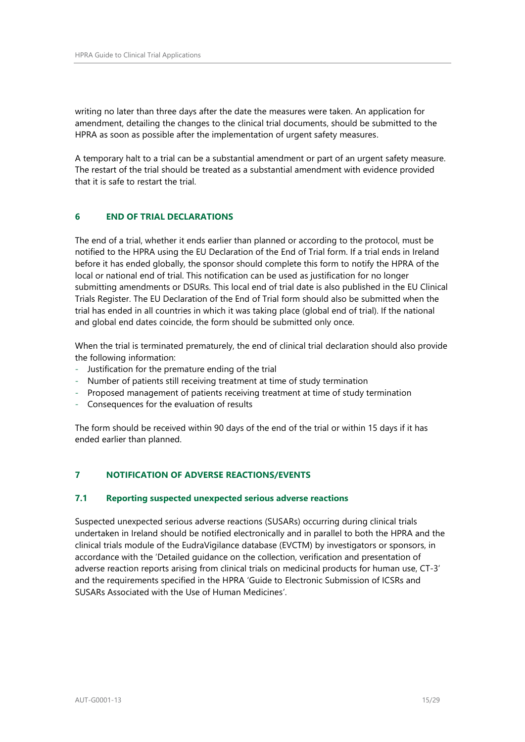writing no later than three days after the date the measures were taken. An application for amendment, detailing the changes to the clinical trial documents, should be submitted to the HPRA as soon as possible after the implementation of urgent safety measures.

A temporary halt to a trial can be a substantial amendment or part of an urgent safety measure. The restart of the trial should be treated as a substantial amendment with evidence provided that it is safe to restart the trial.

# <span id="page-14-0"></span>**6 END OF TRIAL DECLARATIONS**

The end of a trial, whether it ends earlier than planned or according to the protocol, must be notified to the HPRA using the EU Declaration of the End of Trial form. If a trial ends in Ireland before it has ended globally, the sponsor should complete this form to notify the HPRA of the local or national end of trial. This notification can be used as justification for no longer submitting amendments or DSURs. This local end of trial date is also published in the EU Clinical Trials Register. The EU Declaration of the End of Trial form should also be submitted when the trial has ended in all countries in which it was taking place (global end of trial). If the national and global end dates coincide, the form should be submitted only once.

When the trial is terminated prematurely, the end of clinical trial declaration should also provide the following information:

- Justification for the premature ending of the trial
- Number of patients still receiving treatment at time of study termination
- Proposed management of patients receiving treatment at time of study termination
- Consequences for the evaluation of results

The form should be received within 90 days of the end of the trial or within 15 days if it has ended earlier than planned.

# <span id="page-14-1"></span>**7 NOTIFICATION OF ADVERSE REACTIONS/EVENTS**

#### **7.1 Reporting suspected unexpected serious adverse reactions**

Suspected unexpected serious adverse reactions (SUSARs) occurring during clinical trials undertaken in Ireland should be notified electronically and in parallel to both the HPRA and the clinical trials module of the EudraVigilance database (EVCTM) by investigators or sponsors, in accordance with the 'Detailed guidance on the collection, verification and presentation of adverse reaction reports arising from clinical trials on medicinal products for human use, CT-3' and the requirements specified in the HPRA 'Guide to Electronic Submission of ICSRs and SUSARs Associated with the Use of Human Medicines'.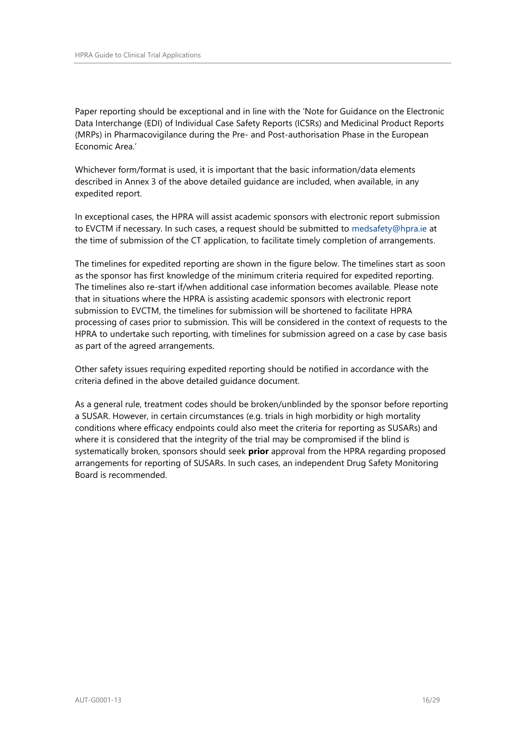Paper reporting should be exceptional and in line with the 'Note for Guidance on the Electronic Data Interchange (EDI) of Individual Case Safety Reports (ICSRs) and Medicinal Product Reports (MRPs) in Pharmacovigilance during the Pre- and Post-authorisation Phase in the European Economic Area.'

Whichever form/format is used, it is important that the basic information/data elements described in Annex 3 of the above detailed guidance are included, when available, in any expedited report.

In exceptional cases, the HPRA will assist academic sponsors with electronic report submission to EVCTM if necessary. In such cases, a request should be submitted to [medsafety@hpra.ie](file:///C:/Documents%20and%20Settings/omahonyd/Local%20Settings/Temporary%20Internet%20Files/Content.Outlook/X7ELF2HA/medsafety@hpra.ie) at the time of submission of the CT application, to facilitate timely completion of arrangements.

The timelines for expedited reporting are shown in the figure below. The timelines start as soon as the sponsor has first knowledge of the minimum criteria required for expedited reporting. The timelines also re-start if/when additional case information becomes available. Please note that in situations where the HPRA is assisting academic sponsors with electronic report submission to EVCTM, the timelines for submission will be shortened to facilitate HPRA processing of cases prior to submission. This will be considered in the context of requests to the HPRA to undertake such reporting, with timelines for submission agreed on a case by case basis as part of the agreed arrangements.

Other safety issues requiring expedited reporting should be notified in accordance with the criteria defined in the above detailed guidance document.

As a general rule, treatment codes should be broken/unblinded by the sponsor before reporting a SUSAR. However, in certain circumstances (e.g. trials in high morbidity or high mortality conditions where efficacy endpoints could also meet the criteria for reporting as SUSARs) and where it is considered that the integrity of the trial may be compromised if the blind is systematically broken, sponsors should seek **prior** approval from the HPRA regarding proposed arrangements for reporting of SUSARs. In such cases, an independent Drug Safety Monitoring Board is recommended.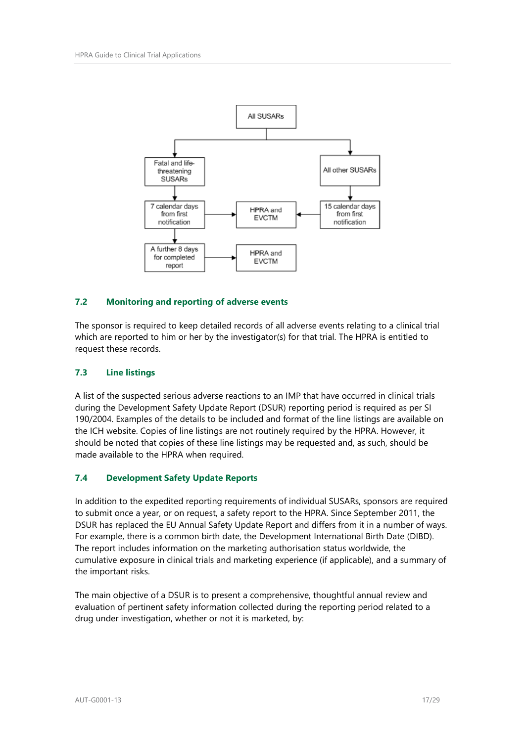

# **7.2 Monitoring and reporting of adverse events**

The sponsor is required to keep detailed records of all adverse events relating to a clinical trial which are reported to him or her by the investigator(s) for that trial. The HPRA is entitled to request these records.

## **7.3 Line listings**

A list of the suspected serious adverse reactions to an IMP that have occurred in clinical trials during the Development Safety Update Report (DSUR) reporting period is required as per SI 190/2004. Examples of the details to be included and format of the line listings are available on the ICH website. Copies of line listings are not routinely required by the HPRA. However, it should be noted that copies of these line listings may be requested and, as such, should be made available to the HPRA when required.

# **7.4 Development Safety Update Reports**

In addition to the expedited reporting requirements of individual SUSARs, sponsors are required to submit once a year, or on request, a safety report to the HPRA. Since September 2011, the DSUR has replaced the EU Annual Safety Update Report and differs from it in a number of ways. For example, there is a common birth date, the Development International Birth Date (DIBD). The report includes information on the marketing authorisation status worldwide, the cumulative exposure in clinical trials and marketing experience (if applicable), and a summary of the important risks.

The main objective of a DSUR is to present a comprehensive, thoughtful annual review and evaluation of pertinent safety information collected during the reporting period related to a drug under investigation, whether or not it is marketed, by: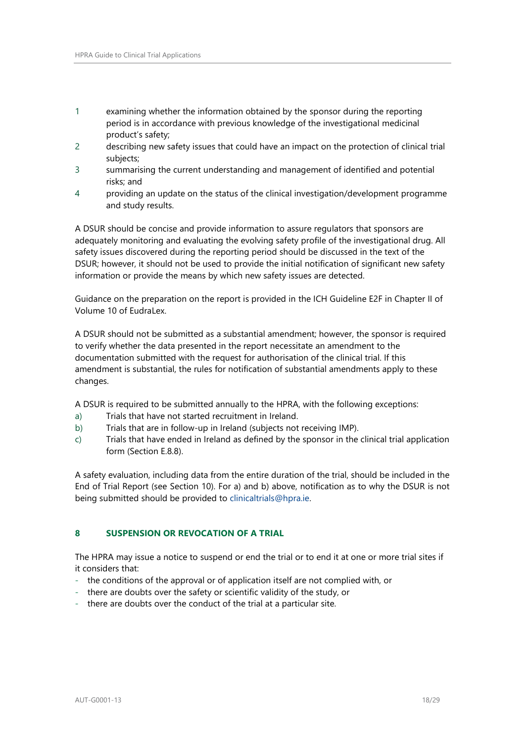- 1 examining whether the information obtained by the sponsor during the reporting period is in accordance with previous knowledge of the investigational medicinal product's safety;
- 2 describing new safety issues that could have an impact on the protection of clinical trial subjects;
- 3 summarising the current understanding and management of identified and potential risks; and
- 4 providing an update on the status of the clinical investigation/development programme and study results.

A DSUR should be concise and provide information to assure regulators that sponsors are adequately monitoring and evaluating the evolving safety profile of the investigational drug. All safety issues discovered during the reporting period should be discussed in the text of the DSUR; however, it should not be used to provide the initial notification of significant new safety information or provide the means by which new safety issues are detected.

Guidance on the preparation on the report is provided in the ICH Guideline E2F in Chapter II of Volume 10 of EudraLex.

A DSUR should not be submitted as a substantial amendment; however, the sponsor is required to verify whether the data presented in the report necessitate an amendment to the documentation submitted with the request for authorisation of the clinical trial. If this amendment is substantial, the rules for notification of substantial amendments apply to these changes.

A DSUR is required to be submitted annually to the HPRA, with the following exceptions:

- a) Trials that have not started recruitment in Ireland.
- b) Trials that are in follow-up in Ireland (subjects not receiving IMP).
- c) Trials that have ended in Ireland as defined by the sponsor in the clinical trial application form (Section E.8.8).

A safety evaluation, including data from the entire duration of the trial, should be included in the End of Trial Report (see Section 10). For a) and b) above, notification as to why the DSUR is not being submitted should be provided to [clinicaltrials@hpra.ie.](mailto:clinicaltrials@hpra.ie)

# <span id="page-17-0"></span>**8 SUSPENSION OR REVOCATION OF A TRIAL**

The HPRA may issue a notice to suspend or end the trial or to end it at one or more trial sites if it considers that:

- the conditions of the approval or of application itself are not complied with, or
- there are doubts over the safety or scientific validity of the study, or
- there are doubts over the conduct of the trial at a particular site.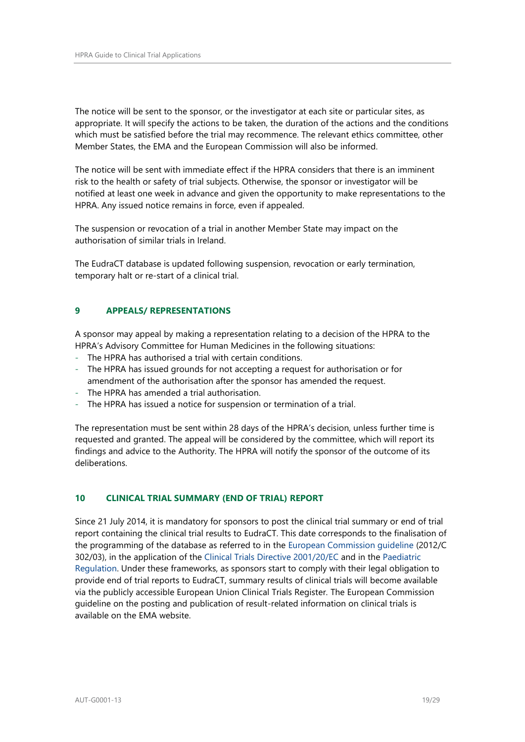The notice will be sent to the sponsor, or the investigator at each site or particular sites, as appropriate. It will specify the actions to be taken, the duration of the actions and the conditions which must be satisfied before the trial may recommence. The relevant ethics committee, other Member States, the EMA and the European Commission will also be informed.

The notice will be sent with immediate effect if the HPRA considers that there is an imminent risk to the health or safety of trial subjects. Otherwise, the sponsor or investigator will be notified at least one week in advance and given the opportunity to make representations to the HPRA. Any issued notice remains in force, even if appealed.

The suspension or revocation of a trial in another Member State may impact on the authorisation of similar trials in Ireland.

The EudraCT database is updated following suspension, revocation or early termination, temporary halt or re-start of a clinical trial.

# <span id="page-18-0"></span>**9 APPEALS/ REPRESENTATIONS**

A sponsor may appeal by making a representation relating to a decision of the HPRA to the HPRA's Advisory Committee for Human Medicines in the following situations:

- The HPRA has authorised a trial with certain conditions.
- The HPRA has issued grounds for not accepting a request for authorisation or for amendment of the authorisation after the sponsor has amended the request.
- The HPRA has amended a trial authorisation.
- The HPRA has issued a notice for suspension or termination of a trial.

The representation must be sent within 28 days of the HPRA's decision, unless further time is requested and granted. The appeal will be considered by the committee, which will report its findings and advice to the Authority. The HPRA will notify the sponsor of the outcome of its deliberations.

# <span id="page-18-1"></span>**10 CLINICAL TRIAL SUMMARY (END OF TRIAL) REPORT**

Since 21 July 2014, it is mandatory for sponsors to post the clinical trial summary or end of trial report containing the clinical trial results to EudraCT. This date corresponds to the finalisation of the programming of the database as referred to in the [European Commission guideline](http://ec.europa.eu/health/files/eudralex/vol-10/2012_302-03/2012_302-03_en.pdf) (2012/C 302/03), in the application of the [Clinical Trials Directive 2001/20/EC](http://eur-lex.europa.eu/LexUriServ/LexUriServ.do?uri=OJ:L:2001:121:0034:0044:en:PDF) and in the [Paediatric](http://www.ema.europa.eu/ema/index.jsp?curl=pages/regulation/document_listing/document_listing_000068.jsp&mid=WC0b01ac0580025b8b)  [Regulation.](http://www.ema.europa.eu/ema/index.jsp?curl=pages/regulation/document_listing/document_listing_000068.jsp&mid=WC0b01ac0580025b8b) Under these frameworks, as sponsors start to comply with their legal obligation to provide end of trial reports to EudraCT, summary results of clinical trials will become available via the publicly accessible European Union Clinical Trials Register. The European Commission guideline on the posting and publication of result-related information on clinical trials is available on the EMA website.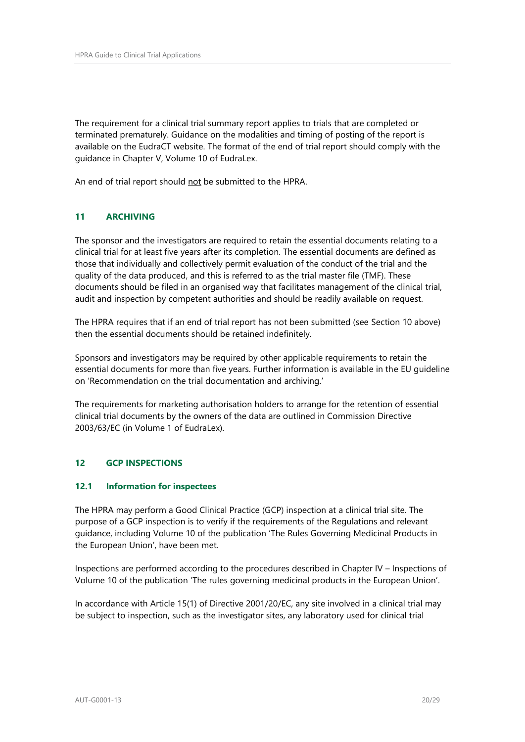The requirement for a clinical trial summary report applies to trials that are completed or terminated prematurely. Guidance on the modalities and timing of posting of the report is available on the EudraCT website. The format of the end of trial report should comply with the guidance in Chapter V, Volume 10 of EudraLex.

An end of trial report should not be submitted to the HPRA.

# <span id="page-19-0"></span>**11 ARCHIVING**

The sponsor and the investigators are required to retain the essential documents relating to a clinical trial for at least five years after its completion. The essential documents are defined as those that individually and collectively permit evaluation of the conduct of the trial and the quality of the data produced, and this is referred to as the trial master file (TMF). These documents should be filed in an organised way that facilitates management of the clinical trial, audit and inspection by competent authorities and should be readily available on request.

The HPRA requires that if an end of trial report has not been submitted (see Section 10 above) then the essential documents should be retained indefinitely.

Sponsors and investigators may be required by other applicable requirements to retain the essential documents for more than five years. Further information is available in the EU guideline on 'Recommendation on the trial documentation and archiving.'

The requirements for marketing authorisation holders to arrange for the retention of essential clinical trial documents by the owners of the data are outlined in Commission Directive 2003/63/EC (in Volume 1 of EudraLex).

# <span id="page-19-1"></span>**12 GCP INSPECTIONS**

# **12.1 Information for inspectees**

The HPRA may perform a Good Clinical Practice (GCP) inspection at a clinical trial site. The purpose of a GCP inspection is to verify if the requirements of the Regulations and relevant guidance, including Volume 10 of the publication 'The Rules Governing Medicinal Products in the European Union', have been met.

Inspections are performed according to the procedures described in Chapter IV – Inspections of Volume 10 of the publication 'The rules governing medicinal products in the European Union'.

In accordance with Article 15(1) of Directive 2001/20/EC, any site involved in a clinical trial may be subject to inspection, such as the investigator sites, any laboratory used for clinical trial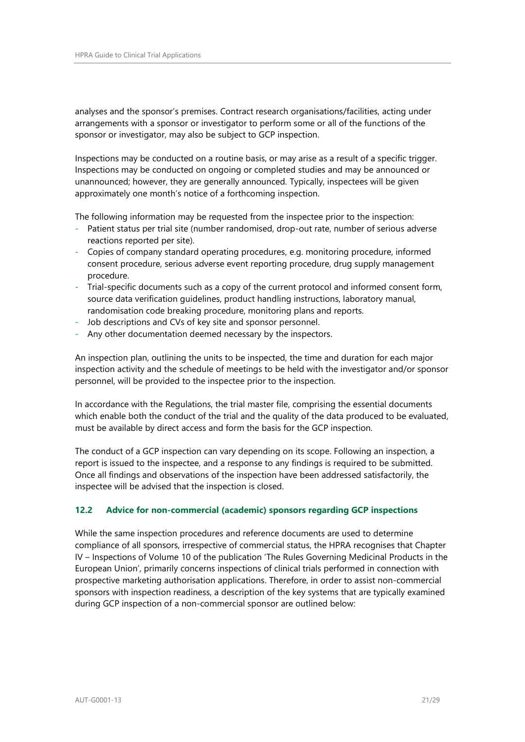analyses and the sponsor's premises. Contract research organisations/facilities, acting under arrangements with a sponsor or investigator to perform some or all of the functions of the sponsor or investigator, may also be subject to GCP inspection.

Inspections may be conducted on a routine basis, or may arise as a result of a specific trigger. Inspections may be conducted on ongoing or completed studies and may be announced or unannounced; however, they are generally announced. Typically, inspectees will be given approximately one month's notice of a forthcoming inspection.

The following information may be requested from the inspectee prior to the inspection:

- Patient status per trial site (number randomised, drop-out rate, number of serious adverse reactions reported per site).
- Copies of company standard operating procedures, e.g. monitoring procedure, informed consent procedure, serious adverse event reporting procedure, drug supply management procedure.
- Trial-specific documents such as a copy of the current protocol and informed consent form, source data verification guidelines, product handling instructions, laboratory manual, randomisation code breaking procedure, monitoring plans and reports.
- Job descriptions and CVs of key site and sponsor personnel.
- Any other documentation deemed necessary by the inspectors.

An inspection plan, outlining the units to be inspected, the time and duration for each major inspection activity and the schedule of meetings to be held with the investigator and/or sponsor personnel, will be provided to the inspectee prior to the inspection.

In accordance with the Regulations, the trial master file, comprising the essential documents which enable both the conduct of the trial and the quality of the data produced to be evaluated, must be available by direct access and form the basis for the GCP inspection.

The conduct of a GCP inspection can vary depending on its scope. Following an inspection, a report is issued to the inspectee, and a response to any findings is required to be submitted. Once all findings and observations of the inspection have been addressed satisfactorily, the inspectee will be advised that the inspection is closed.

# **12.2 Advice for non-commercial (academic) sponsors regarding GCP inspections**

While the same inspection procedures and reference documents are used to determine compliance of all sponsors, irrespective of commercial status, the HPRA recognises that Chapter IV – Inspections of Volume 10 of the publication 'The Rules Governing Medicinal Products in the European Union', primarily concerns inspections of clinical trials performed in connection with prospective marketing authorisation applications. Therefore, in order to assist non-commercial sponsors with inspection readiness, a description of the key systems that are typically examined during GCP inspection of a non-commercial sponsor are outlined below: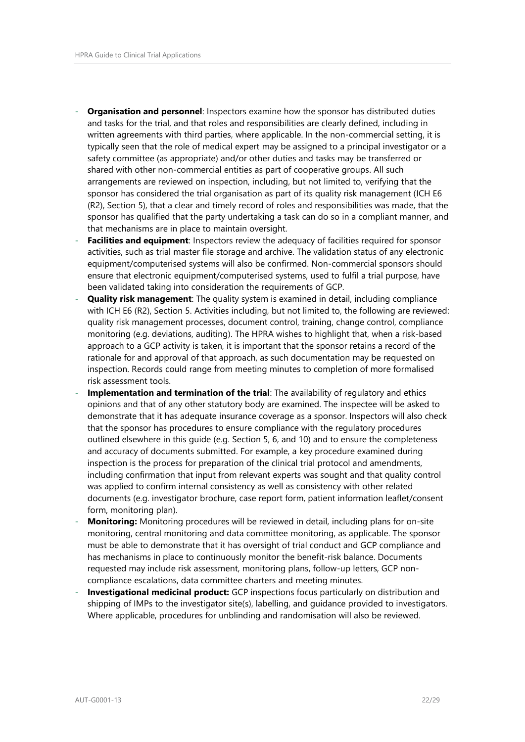- **Organisation and personnel**: Inspectors examine how the sponsor has distributed duties and tasks for the trial, and that roles and responsibilities are clearly defined, including in written agreements with third parties, where applicable. In the non-commercial setting, it is typically seen that the role of medical expert may be assigned to a principal investigator or a safety committee (as appropriate) and/or other duties and tasks may be transferred or shared with other non-commercial entities as part of cooperative groups. All such arrangements are reviewed on inspection, including, but not limited to, verifying that the sponsor has considered the trial organisation as part of its quality risk management (ICH E6 (R2), Section 5), that a clear and timely record of roles and responsibilities was made, that the sponsor has qualified that the party undertaking a task can do so in a compliant manner, and that mechanisms are in place to maintain oversight.
- **Facilities and equipment**: Inspectors review the adequacy of facilities required for sponsor activities, such as trial master file storage and archive. The validation status of any electronic equipment/computerised systems will also be confirmed. Non-commercial sponsors should ensure that electronic equipment/computerised systems, used to fulfil a trial purpose, have been validated taking into consideration the requirements of GCP.
- **Quality risk management**: The quality system is examined in detail, including compliance with ICH E6 (R2), Section 5. Activities including, but not limited to, the following are reviewed: quality risk management processes, document control, training, change control, compliance monitoring (e.g. deviations, auditing). The HPRA wishes to highlight that, when a risk-based approach to a GCP activity is taken, it is important that the sponsor retains a record of the rationale for and approval of that approach, as such documentation may be requested on inspection. Records could range from meeting minutes to completion of more formalised risk assessment tools.
- **Implementation and termination of the trial**: The availability of regulatory and ethics opinions and that of any other statutory body are examined. The inspectee will be asked to demonstrate that it has adequate insurance coverage as a sponsor. Inspectors will also check that the sponsor has procedures to ensure compliance with the regulatory procedures outlined elsewhere in this guide (e.g. Section 5, 6, and 10) and to ensure the completeness and accuracy of documents submitted. For example, a key procedure examined during inspection is the process for preparation of the clinical trial protocol and amendments, including confirmation that input from relevant experts was sought and that quality control was applied to confirm internal consistency as well as consistency with other related documents (e.g. investigator brochure, case report form, patient information leaflet/consent form, monitoring plan).
- **Monitoring:** Monitoring procedures will be reviewed in detail, including plans for on-site monitoring, central monitoring and data committee monitoring, as applicable. The sponsor must be able to demonstrate that it has oversight of trial conduct and GCP compliance and has mechanisms in place to continuously monitor the benefit-risk balance. Documents requested may include risk assessment, monitoring plans, follow-up letters, GCP noncompliance escalations, data committee charters and meeting minutes.
- **Investigational medicinal product:** GCP inspections focus particularly on distribution and shipping of IMPs to the investigator site(s), labelling, and guidance provided to investigators. Where applicable, procedures for unblinding and randomisation will also be reviewed.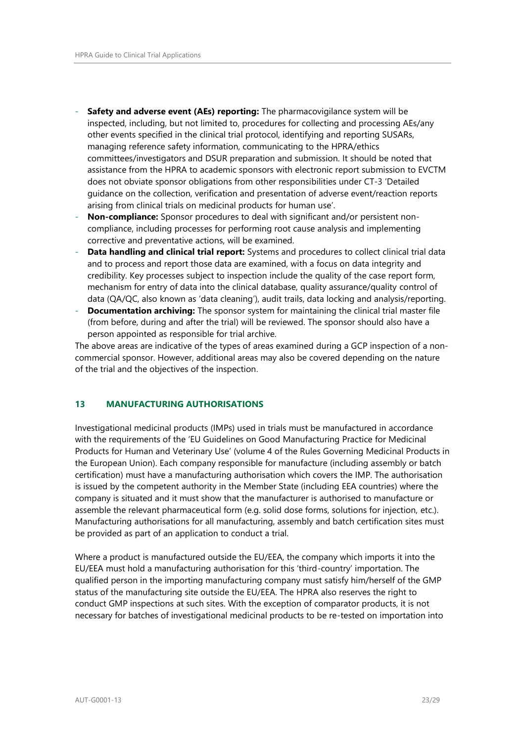- Safety and adverse event (AEs) reporting: The pharmacovigilance system will be inspected, including, but not limited to, procedures for collecting and processing AEs/any other events specified in the clinical trial protocol, identifying and reporting SUSARs, managing reference safety information, communicating to the HPRA/ethics committees/investigators and DSUR preparation and submission. It should be noted that assistance from the HPRA to academic sponsors with electronic report submission to EVCTM does not obviate sponsor obligations from other responsibilities under CT-3 'Detailed guidance on the collection, verification and presentation of adverse event/reaction reports arising from clinical trials on medicinal products for human use'.
- Non-compliance: Sponsor procedures to deal with significant and/or persistent noncompliance, including processes for performing root cause analysis and implementing corrective and preventative actions, will be examined.
- **Data handling and clinical trial report:** Systems and procedures to collect clinical trial data and to process and report those data are examined, with a focus on data integrity and credibility. Key processes subject to inspection include the quality of the case report form, mechanism for entry of data into the clinical database, quality assurance/quality control of data (QA/QC, also known as 'data cleaning'), audit trails, data locking and analysis/reporting.
- **Documentation archiving:** The sponsor system for maintaining the clinical trial master file (from before, during and after the trial) will be reviewed. The sponsor should also have a person appointed as responsible for trial archive.

The above areas are indicative of the types of areas examined during a GCP inspection of a noncommercial sponsor. However, additional areas may also be covered depending on the nature of the trial and the objectives of the inspection.

# <span id="page-22-0"></span>**13 MANUFACTURING AUTHORISATIONS**

Investigational medicinal products (IMPs) used in trials must be manufactured in accordance with the requirements of the 'EU Guidelines on Good Manufacturing Practice for Medicinal Products for Human and Veterinary Use' (volume 4 of the Rules Governing Medicinal Products in the European Union). Each company responsible for manufacture (including assembly or batch certification) must have a manufacturing authorisation which covers the IMP. The authorisation is issued by the competent authority in the Member State (including EEA countries) where the company is situated and it must show that the manufacturer is authorised to manufacture or assemble the relevant pharmaceutical form (e.g. solid dose forms, solutions for injection, etc.). Manufacturing authorisations for all manufacturing, assembly and batch certification sites must be provided as part of an application to conduct a trial.

Where a product is manufactured outside the EU/EEA, the company which imports it into the EU/EEA must hold a manufacturing authorisation for this 'third-country' importation. The qualified person in the importing manufacturing company must satisfy him/herself of the GMP status of the manufacturing site outside the EU/EEA. The HPRA also reserves the right to conduct GMP inspections at such sites. With the exception of comparator products, it is not necessary for batches of investigational medicinal products to be re-tested on importation into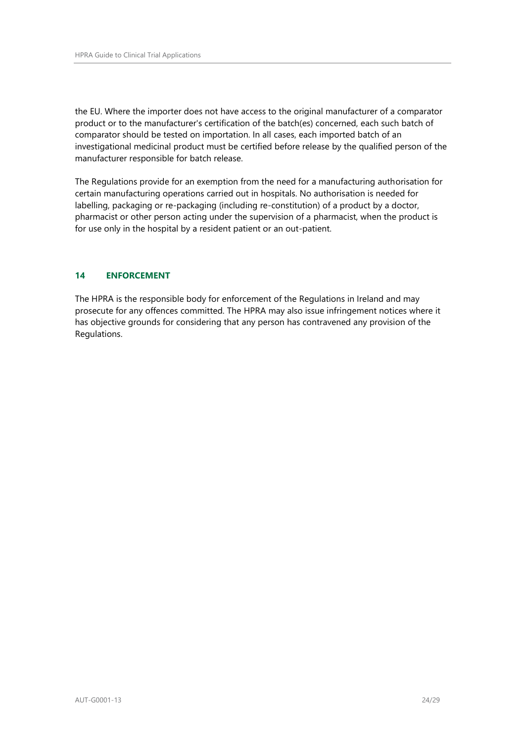the EU. Where the importer does not have access to the original manufacturer of a comparator product or to the manufacturer's certification of the batch(es) concerned, each such batch of comparator should be tested on importation. In all cases, each imported batch of an investigational medicinal product must be certified before release by the qualified person of the manufacturer responsible for batch release.

The Regulations provide for an exemption from the need for a manufacturing authorisation for certain manufacturing operations carried out in hospitals. No authorisation is needed for labelling, packaging or re-packaging (including re-constitution) of a product by a doctor, pharmacist or other person acting under the supervision of a pharmacist, when the product is for use only in the hospital by a resident patient or an out-patient.

# <span id="page-23-0"></span>**14 ENFORCEMENT**

The HPRA is the responsible body for enforcement of the Regulations in Ireland and may prosecute for any offences committed. The HPRA may also issue infringement notices where it has objective grounds for considering that any person has contravened any provision of the Regulations.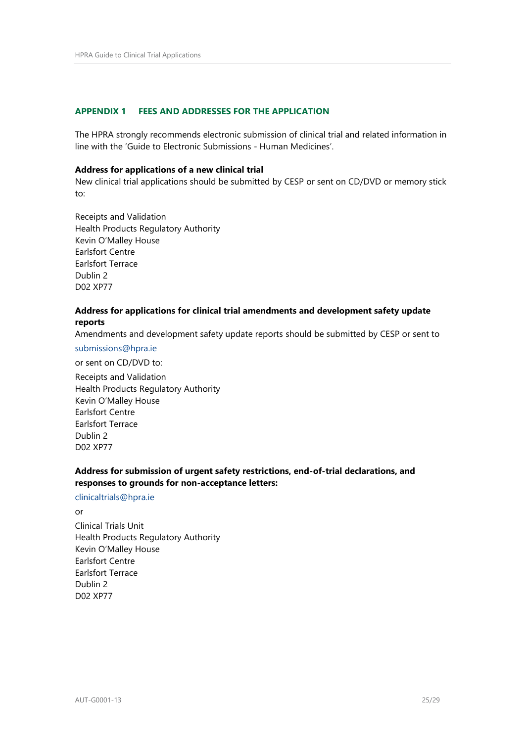#### <span id="page-24-0"></span>**APPENDIX 1 FEES AND ADDRESSES FOR THE APPLICATION**

The HPRA strongly recommends electronic submission of clinical trial and related information in line with the 'Guide to Electronic Submissions - Human Medicines'.

#### **Address for applications of a new clinical trial**

New clinical trial applications should be submitted by CESP or sent on CD/DVD or memory stick to:

Receipts and Validation Health Products Regulatory Authority Kevin O'Malley House Earlsfort Centre Earlsfort Terrace Dublin 2 D02 XP77

#### **Address for applications for clinical trial amendments and development safety update reports**

Amendments and development safety update reports should be submitted by CESP or sent to

#### [submissions@hpra.ie](mailto:submissions@hpra.ie)

or sent on CD/DVD to:

Receipts and Validation Health Products Regulatory Authority Kevin O'Malley House Earlsfort Centre Earlsfort Terrace Dublin 2 D02 XP77

# **Address for submission of urgent safety restrictions, end-of-trial declarations, and responses to grounds for non-acceptance letters:**

#### [clinicaltrials@hpra.ie](mailto:clinicaltrials@hpra.ie)

 $\alpha$ r Clinical Trials Unit Health Products Regulatory Authority Kevin O'Malley House Earlsfort Centre Earlsfort Terrace Dublin 2 D02 XP77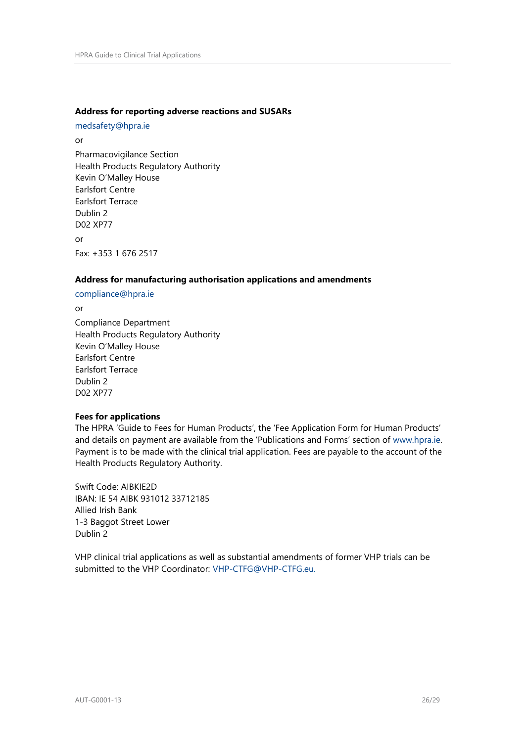#### **Address for reporting adverse reactions and SUSARs**

[medsafety@hpra.ie](mailto:medsafety@hpra.ie)

or Pharmacovigilance Section Health Products Regulatory Authority Kevin O'Malley House Earlsfort Centre Earlsfort Terrace Dublin 2 D02 XP77 or Fax: +353 1 676 2517

#### **Address for manufacturing authorisation applications and amendments**

[compliance@hpra.ie](mailto:compliance@hpra.ie)

or Compliance Department Health Products Regulatory Authority Kevin O'Malley House Earlsfort Centre Earlsfort Terrace Dublin 2 D02 XP77

#### **Fees for applications**

The HPRA 'Guide to Fees for Human Products', the 'Fee Application Form for Human Products' and details on payment are available from the 'Publications and Forms' section of [www.hpra.ie.](http://www.hpra.ie/) Payment is to be made with the clinical trial application. Fees are payable to the account of the Health Products Regulatory Authority.

Swift Code: AIBKIE2D IBAN: IE 54 AIBK 931012 33712185 Allied Irish Bank 1-3 Baggot Street Lower Dublin 2

VHP clinical trial applications as well as substantial amendments of former VHP trials can be submitted to the VHP Coordinator: [VHP-CTFG@VHP-CTFG.eu.](file:///C:/Users/heijsh/AppData/Local/Microsoft/Windows/Temporary%20Internet%20Files/Content.Outlook/DU8WZAZJ/VHP-CTFG@VHP-CTFG.eu)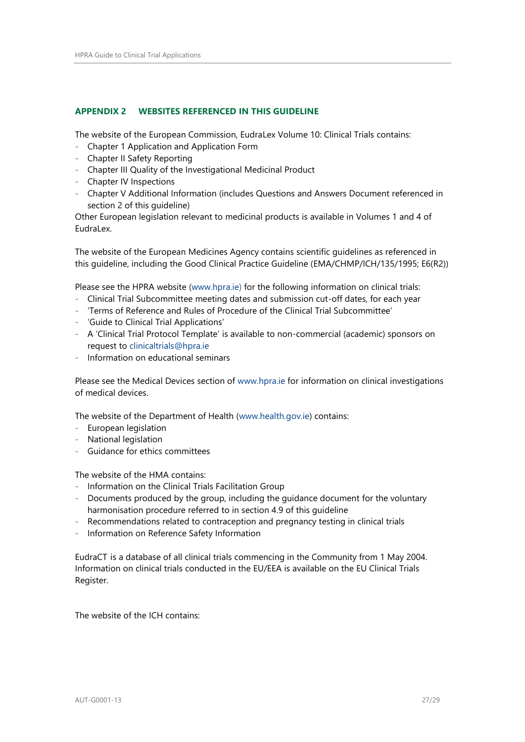#### <span id="page-26-0"></span>**APPENDIX 2 WEBSITES REFERENCED IN THIS GUIDELINE**

The website of the European Commission, EudraLex Volume 10: Clinical Trials contains:

- Chapter 1 Application and Application Form
- Chapter II Safety Reporting
- Chapter III Quality of the Investigational Medicinal Product
- Chapter IV Inspections
- Chapter V Additional Information (includes Questions and Answers Document referenced in section 2 of this guideline)

Other European legislation relevant to medicinal products is available in Volumes 1 and 4 of EudraLex.

The website of the European Medicines Agency contains scientific guidelines as referenced in this guideline, including the Good Clinical Practice Guideline (EMA/CHMP/ICH/135/1995; E6(R2))

Please see the HPRA website [\(www.hpra.ie\)](http://www.hpra.ie/) for the following information on clinical trials:

- Clinical Trial Subcommittee meeting dates and submission cut-off dates, for each year
- 'Terms of Reference and Rules of Procedure of the Clinical Trial Subcommittee'
- 'Guide to Clinical Trial Applications'
- A 'Clinical Trial Protocol Template' is available to non-commercial (academic) sponsors on request to [clinicaltrials@hpra.ie](mailto:clinicaltrials@hpra.ie)
- Information on educational seminars

Please see the Medical Devices section of [www.hpra.ie](http://www.hpra.ie/) for information on clinical investigations of medical devices.

The website of the Department of Health [\(www.health.gov.ie\)](http://www.health.gov.ie/) contains:

- European legislation
- National legislation
- Guidance for ethics committees

The website of the HMA contains:

- Information on the Clinical Trials Facilitation Group
- Documents produced by the group, including the guidance document for the voluntary harmonisation procedure referred to in section 4.9 of this guideline
- Recommendations related to contraception and pregnancy testing in clinical trials
- Information on Reference Safety Information

EudraCT is a database of all clinical trials commencing in the Community from 1 May 2004. Information on clinical trials conducted in the EU/EEA is available on the EU Clinical Trials Register.

The website of the ICH contains: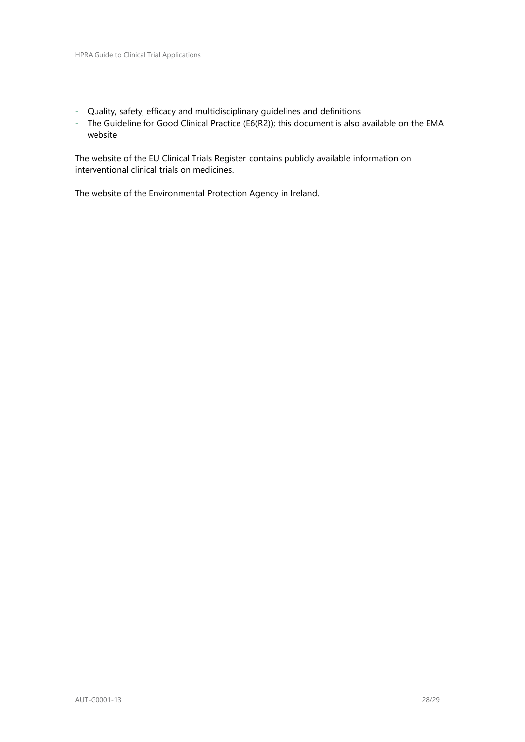- Quality, safety, efficacy and multidisciplinary guidelines and definitions
- The Guideline for Good Clinical Practice (E6(R2)); this document is also available on the EMA website

The website of the EU Clinical Trials Register contains publicly available information on interventional clinical trials on medicines.

The website of the Environmental Protection Agency in Ireland.